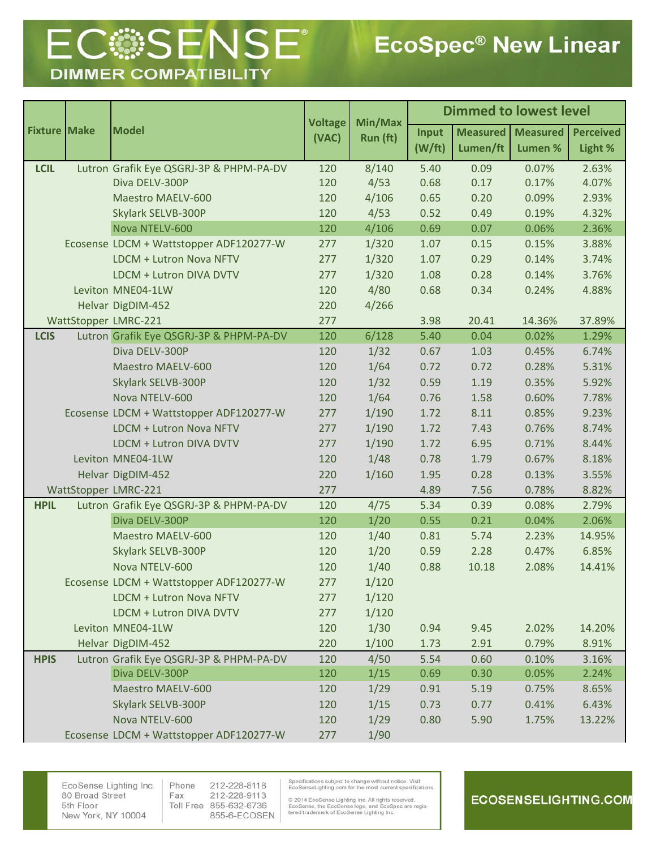## **ECOSENSE® DIMMER COMPATIBILITY**

| <b>Fixture Make</b> | <b>Model</b>                            | <b>Voltage</b><br>(VAC) | Min/Max<br>Run (ft) | <b>Dimmed to lowest level</b> |                             |                            |                             |
|---------------------|-----------------------------------------|-------------------------|---------------------|-------------------------------|-----------------------------|----------------------------|-----------------------------|
|                     |                                         |                         |                     | Input<br>(W/ft)               | <b>Measured</b><br>Lumen/ft | <b>Measured</b><br>Lumen % | <b>Perceived</b><br>Light % |
| <b>LCIL</b>         | Lutron Grafik Eye QSGRJ-3P & PHPM-PA-DV | 120                     | 8/140               | 5.40                          | 0.09                        | 0.07%                      | 2.63%                       |
|                     | Diva DELV-300P                          | 120                     | 4/53                | 0.68                          | 0.17                        | 0.17%                      | 4.07%                       |
|                     | Maestro MAELV-600                       | 120                     | 4/106               | 0.65                          | 0.20                        | 0.09%                      | 2.93%                       |
|                     | Skylark SELVB-300P                      | 120                     | 4/53                | 0.52                          | 0.49                        | 0.19%                      | 4.32%                       |
|                     | Nova NTELV-600                          | 120                     | 4/106               | 0.69                          | 0.07                        | 0.06%                      | 2.36%                       |
|                     | Ecosense LDCM + Wattstopper ADF120277-W | 277                     | 1/320               | 1.07                          | 0.15                        | 0.15%                      | 3.88%                       |
|                     | LDCM + Lutron Nova NFTV                 | 277                     | 1/320               | 1.07                          | 0.29                        | 0.14%                      | 3.74%                       |
|                     | LDCM + Lutron DIVA DVTV                 | 277                     | 1/320               | 1.08                          | 0.28                        | 0.14%                      | 3.76%                       |
|                     | Leviton MNE04-1LW                       | 120                     | 4/80                | 0.68                          | 0.34                        | 0.24%                      | 4.88%                       |
|                     | Helvar DigDIM-452                       | 220                     | 4/266               |                               |                             |                            |                             |
|                     | WattStopper LMRC-221                    | 277                     |                     | 3.98                          | 20.41                       | 14.36%                     | 37.89%                      |
| <b>LCIS</b>         | Lutron Grafik Eye QSGRJ-3P & PHPM-PA-DV | 120                     | 6/128               | 5.40                          | 0.04                        | 0.02%                      | 1.29%                       |
|                     | Diva DELV-300P                          | 120                     | 1/32                | 0.67                          | 1.03                        | 0.45%                      | 6.74%                       |
|                     | Maestro MAELV-600                       | 120                     | 1/64                | 0.72                          | 0.72                        | 0.28%                      | 5.31%                       |
|                     | Skylark SELVB-300P                      | 120                     | 1/32                | 0.59                          | 1.19                        | 0.35%                      | 5.92%                       |
|                     | Nova NTELV-600                          | 120                     | 1/64                | 0.76                          | 1.58                        | 0.60%                      | 7.78%                       |
|                     | Ecosense LDCM + Wattstopper ADF120277-W | 277                     | 1/190               | 1.72                          | 8.11                        | 0.85%                      | 9.23%                       |
|                     | LDCM + Lutron Nova NFTV                 | 277                     | 1/190               | 1.72                          | 7.43                        | 0.76%                      | 8.74%                       |
|                     | LDCM + Lutron DIVA DVTV                 | 277                     | 1/190               | 1.72                          | 6.95                        | 0.71%                      | 8.44%                       |
|                     | Leviton MNE04-1LW                       | 120                     | 1/48                | 0.78                          | 1.79                        | 0.67%                      | 8.18%                       |
|                     | Helvar DigDIM-452                       | 220                     | 1/160               | 1.95                          | 0.28                        | 0.13%                      | 3.55%                       |
|                     | WattStopper LMRC-221                    | 277                     |                     | 4.89                          | 7.56                        | 0.78%                      | 8.82%                       |
| <b>HPIL</b>         | Lutron Grafik Eye QSGRJ-3P & PHPM-PA-DV | 120                     | 4/75                | 5.34                          | 0.39                        | 0.08%                      | 2.79%                       |
|                     | Diva DELV-300P                          | 120                     | 1/20                | 0.55                          | 0.21                        | 0.04%                      | 2.06%                       |
|                     | Maestro MAELV-600                       | 120                     | 1/40                | 0.81                          | 5.74                        | 2.23%                      | 14.95%                      |
|                     | Skylark SELVB-300P                      | 120                     | 1/20                | 0.59                          | 2.28                        | 0.47%                      | 6.85%                       |
|                     | Nova NTELV-600                          | 120                     | 1/40                | 0.88                          | 10.18                       | 2.08%                      | 14.41%                      |
|                     | Ecosense LDCM + Wattstopper ADF120277-W | 277                     | 1/120               |                               |                             |                            |                             |
|                     | LDCM + Lutron Nova NFTV                 | 277                     | 1/120               |                               |                             |                            |                             |
|                     | LDCM + Lutron DIVA DVTV                 | 277                     | 1/120               |                               |                             |                            |                             |
|                     | Leviton MNE04-1LW                       | 120                     | 1/30                | 0.94                          | 9.45                        | 2.02%                      | 14.20%                      |
|                     | Helvar DigDIM-452                       | 220                     | 1/100               | 1.73                          | 2.91                        | 0.79%                      | 8.91%                       |
| <b>HPIS</b>         | Lutron Grafik Eye QSGRJ-3P & PHPM-PA-DV | 120                     | 4/50                | 5.54                          | 0.60                        | 0.10%                      | 3.16%                       |
|                     | Diva DELV-300P                          | 120                     | 1/15                | 0.69                          | 0.30                        | 0.05%                      | 2.24%                       |
|                     | Maestro MAELV-600                       | 120                     | 1/29                | 0.91                          | 5.19                        | 0.75%                      | 8.65%                       |
|                     | Skylark SELVB-300P                      | 120                     | 1/15                | 0.73                          | 0.77                        | 0.41%                      | 6.43%                       |
|                     | Nova NTELV-600                          | 120                     | 1/29                | 0.80                          | 5.90                        | 1.75%                      | 13.22%                      |
|                     | Ecosense LDCM + Wattstopper ADF120277-W | 277                     | 1/90                |                               |                             |                            |                             |

EcoSense Lighting Inc. 80 Broad Street 5th Floor New York, NY 10004

Phone 212-228-8118 Fax 212-228-9113 Toll Free 855-632-6736 855-6-ECOSEN Specifications subject to change without notice. Visit<br>EcoSenseLighting.com for the most current specifications.

© 2014 EcoSense Lighting Inc. All rights reserved.<br>EcoSense, the EcoSense logo, and EcoSpec are registered trademark of EcoSense Lighting Inc.

## **ECOSENSELIGHTING.COM**